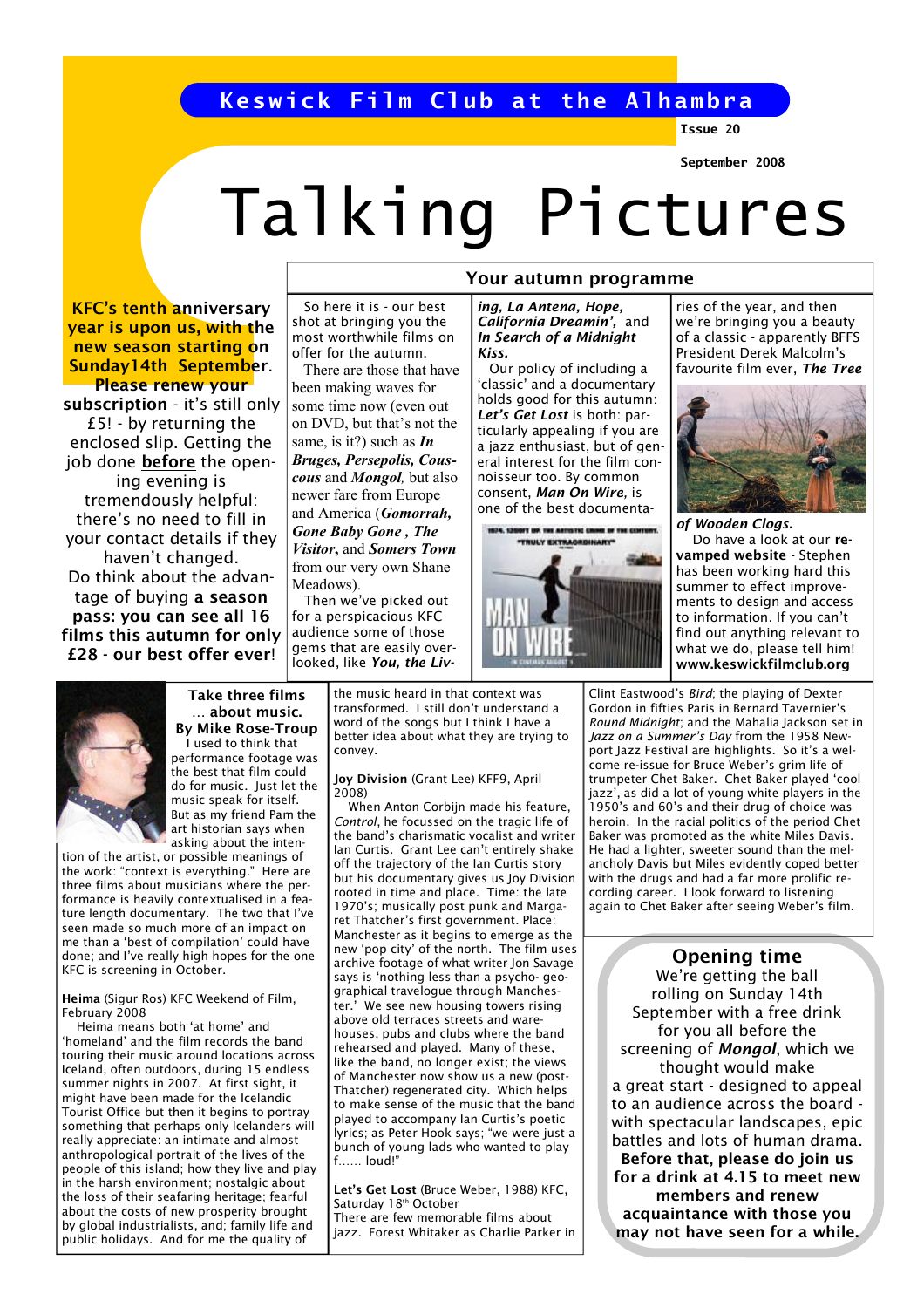## Keswick Film Club at the Alhambra

Issue 20

### September 2008

# Talking Pictures

KFC's tenth anniversary year is upon us, with the new season starting on Sunday14th September. Please renew your

subscription - it's still only £5! - by returning the enclosed slip. Getting the job done before the opening evening is tremendously helpful: there's no need to fill in your contact details if they haven't changed. Do think about the advantage of buying a season pass: you can see all 16 films this autumn for only £28 - our best offer ever!

 So here it is - our best shot at bringing you the most worthwhile films on offer for the autumn.

 There are those that have been making waves for some time now (even out on DVD, but that's not the same, is it?) such as  $In$ Bruges, Persepolis, Couscous and *Mongol*, but also newer fare from Europe and America (Gomorrah, Gone Baby Gone , The Visitor, and Somers Town from our very own Shane Meadows).

 Then we've picked out for a perspicacious KFC audience some of those gems that are easily overlooked, like You, the Liv-

## Your autumn programme

ing, La Antena, Hope, California Dreamin', and In Search of a Midnight Kiss.

 Our policy of including a 'classic' and a documentary holds good for this autumn: Let's Get Lost is both: particularly appealing if you are a jazz enthusiast, but of general interest for the film connoisseur too. By common consent, Man On Wire, is one of the best documenta-



ries of the year, and then we're bringing you a beauty of a classic - apparently BFFS President Derek Malcolm's favourite film ever, The Tree



of Wooden Clogs. Do have a look at our revamped website - Stephen has been working hard this summer to effect improvements to design and access to information. If you can't find out anything relevant to what we do, please tell him! www.keswickfilmclub.org



#### Take three films … about music. By Mike Rose-Troup I used to think that

performance footage was the best that film could do for music. Just let the music speak for itself. But as my friend Pam the art historian says when asking about the inten-

tion of the artist, or possible meanings of the work: "context is everything." Here are three films about musicians where the performance is heavily contextualised in a feature length documentary. The two that I've seen made so much more of an impact on me than a 'best of compilation' could have done; and I've really high hopes for the one KFC is screening in October.

Heima (Sigur Ros) KFC Weekend of Film, February 2008

 Heima means both 'at home' and 'homeland' and the film records the band touring their music around locations across Iceland, often outdoors, during 15 endless summer nights in 2007. At first sight, it might have been made for the Icelandic Tourist Office but then it begins to portray something that perhaps only Icelanders will really appreciate: an intimate and almost anthropological portrait of the lives of the people of this island; how they live and play in the harsh environment; nostalgic about the loss of their seafaring heritage; fearful about the costs of new prosperity brought by global industrialists, and; family life and public holidays. And for me the quality of

the music heard in that context was transformed. I still don't understand a word of the songs but I think I have a better idea about what they are trying to convey.

#### Joy Division (Grant Lee) KFF9, April 2008)

 When Anton Corbijn made his feature, Control, he focussed on the tragic life of the band's charismatic vocalist and writer Ian Curtis. Grant Lee can't entirely shake off the trajectory of the Ian Curtis story but his documentary gives us Joy Division rooted in time and place. Time: the late 1970's; musically post punk and Margaret Thatcher's first government. Place: Manchester as it begins to emerge as the new 'pop city' of the north. The film uses archive footage of what writer Jon Savage says is 'nothing less than a psycho- geographical travelogue through Manchester.' We see new housing towers rising above old terraces streets and warehouses, pubs and clubs where the band rehearsed and played. Many of these, like the band, no longer exist; the views of Manchester now show us a new (post-Thatcher) regenerated city. Which helps to make sense of the music that the band played to accompany Ian Curtis's poetic lyrics; as Peter Hook says; "we were just a bunch of young lads who wanted to play f…… loud!"

Let's Get Lost (Bruce Weber, 1988) KFC, Saturday 18<sup>th</sup> October There are few memorable films about

jazz. Forest Whitaker as Charlie Parker in

Clint Eastwood's Bird; the playing of Dexter Gordon in fifties Paris in Bernard Tavernier's Round Midnight; and the Mahalia Jackson set in Jazz on a Summer's Day from the 1958 Newport Jazz Festival are highlights. So it's a welcome re-issue for Bruce Weber's grim life of trumpeter Chet Baker. Chet Baker played 'cool jazz', as did a lot of young white players in the 1950's and 60's and their drug of choice was heroin. In the racial politics of the period Chet Baker was promoted as the white Miles Davis. He had a lighter, sweeter sound than the melancholy Davis but Miles evidently coped better with the drugs and had a far more prolific recording career. I look forward to listening again to Chet Baker after seeing Weber's film.

Opening time We're getting the ball rolling on Sunday 14th September with a free drink for you all before the screening of Mongol, which we thought would make a great start - designed to appeal to an audience across the board with spectacular landscapes, epic battles and lots of human drama. Before that, please do join us for a drink at 4.15 to meet new members and renew acquaintance with those you may not have seen for a while.